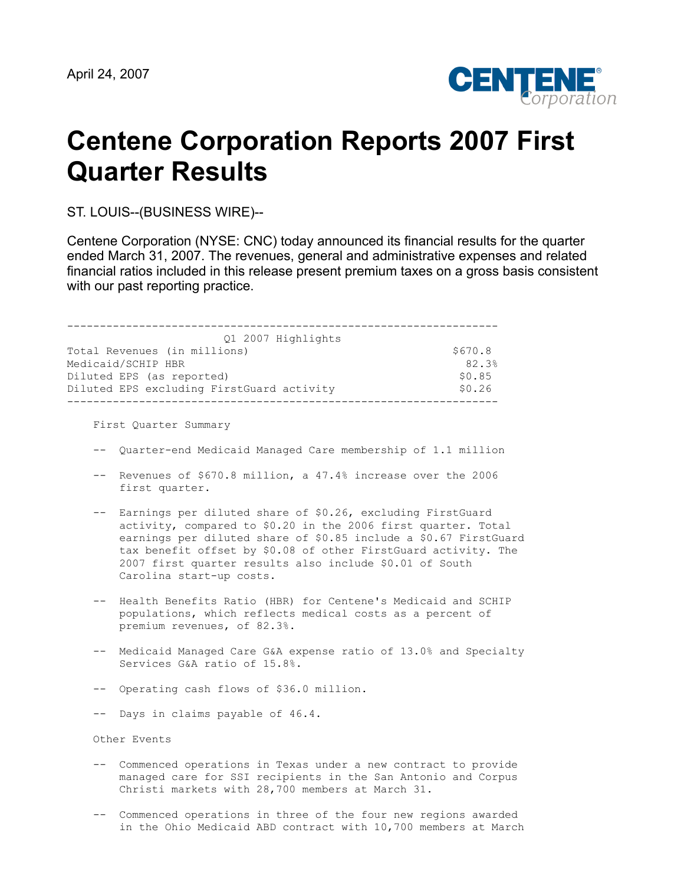

# **Centene Corporation Reports 2007 First Quarter Results**

ST. LOUIS--(BUSINESS WIRE)--

Centene Corporation (NYSE: CNC) today announced its financial results for the quarter ended March 31, 2007. The revenues, general and administrative expenses and related financial ratios included in this release present premium taxes on a gross basis consistent with our past reporting practice.

------------------------------------------------------------------ Q1 2007 Highlights Total Revenues (in millions) 6670.8 Medicaid/SCHIP HBR 82.3% Diluted EPS (as reported)  $$0.85$ Diluted EPS excluding FirstGuard activity  $$0.26$ ------------------------------------------------------------------

First Quarter Summary

- -- Quarter-end Medicaid Managed Care membership of 1.1 million
- -- Revenues of \$670.8 million, a 47.4% increase over the 2006 first quarter.
- -- Earnings per diluted share of \$0.26, excluding FirstGuard activity, compared to \$0.20 in the 2006 first quarter. Total earnings per diluted share of \$0.85 include a \$0.67 FirstGuard tax benefit offset by \$0.08 of other FirstGuard activity. The 2007 first quarter results also include \$0.01 of South Carolina start-up costs.
- -- Health Benefits Ratio (HBR) for Centene's Medicaid and SCHIP populations, which reflects medical costs as a percent of premium revenues, of 82.3%.
- -- Medicaid Managed Care G&A expense ratio of 13.0% and Specialty Services G&A ratio of 15.8%.
- -- Operating cash flows of \$36.0 million.
- -- Days in claims payable of 46.4.

Other Events

- -- Commenced operations in Texas under a new contract to provide managed care for SSI recipients in the San Antonio and Corpus Christi markets with 28,700 members at March 31.
- -- Commenced operations in three of the four new regions awarded in the Ohio Medicaid ABD contract with 10,700 members at March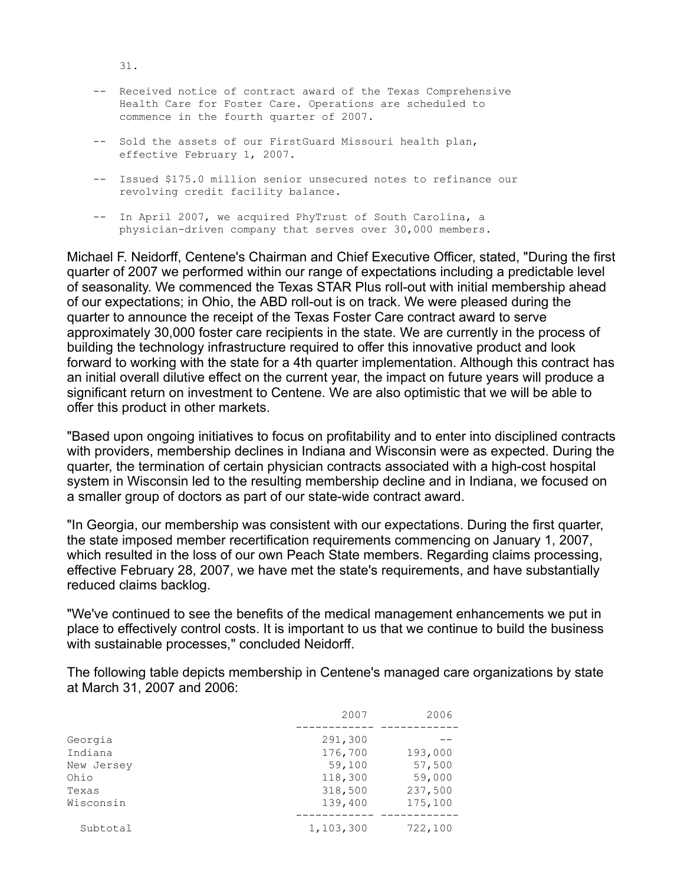- -- Received notice of contract award of the Texas Comprehensive Health Care for Foster Care. Operations are scheduled to commence in the fourth quarter of 2007.
- -- Sold the assets of our FirstGuard Missouri health plan, effective February 1, 2007.
- -- Issued \$175.0 million senior unsecured notes to refinance our revolving credit facility balance.
- -- In April 2007, we acquired PhyTrust of South Carolina, a physician-driven company that serves over 30,000 members.

Michael F. Neidorff, Centene's Chairman and Chief Executive Officer, stated, "During the first quarter of 2007 we performed within our range of expectations including a predictable level of seasonality. We commenced the Texas STAR Plus roll-out with initial membership ahead of our expectations; in Ohio, the ABD roll-out is on track. We were pleased during the quarter to announce the receipt of the Texas Foster Care contract award to serve approximately 30,000 foster care recipients in the state. We are currently in the process of building the technology infrastructure required to offer this innovative product and look forward to working with the state for a 4th quarter implementation. Although this contract has an initial overall dilutive effect on the current year, the impact on future years will produce a significant return on investment to Centene. We are also optimistic that we will be able to offer this product in other markets.

"Based upon ongoing initiatives to focus on profitability and to enter into disciplined contracts with providers, membership declines in Indiana and Wisconsin were as expected. During the quarter, the termination of certain physician contracts associated with a high-cost hospital system in Wisconsin led to the resulting membership decline and in Indiana, we focused on a smaller group of doctors as part of our state-wide contract award.

"In Georgia, our membership was consistent with our expectations. During the first quarter, the state imposed member recertification requirements commencing on January 1, 2007, which resulted in the loss of our own Peach State members. Regarding claims processing, effective February 28, 2007, we have met the state's requirements, and have substantially reduced claims backlog.

"We've continued to see the benefits of the medical management enhancements we put in place to effectively control costs. It is important to us that we continue to build the business with sustainable processes," concluded Neidorff.

The following table depicts membership in Centene's managed care organizations by state at March 31, 2007 and 2006:

|            | 2007      | 2006    |
|------------|-----------|---------|
|            |           |         |
| Georgia    | 291,300   |         |
| Indiana    | 176,700   | 193,000 |
| New Jersey | 59,100    | 57,500  |
| Ohio       | 118,300   | 59,000  |
| Texas      | 318,500   | 237,500 |
| Wisconsin  | 139,400   | 175,100 |
| Subtotal   | 1,103,300 | 722,100 |

31.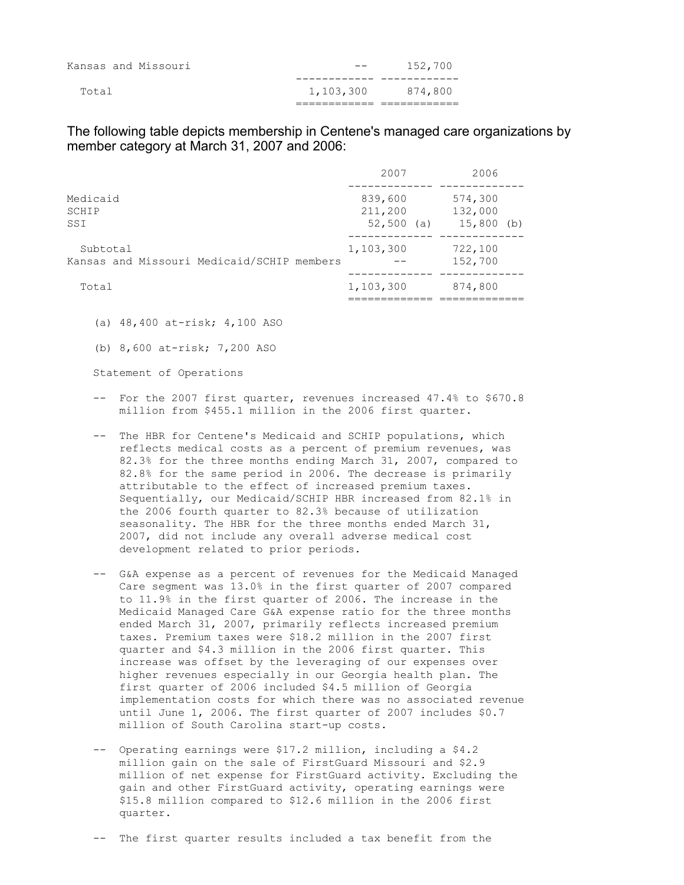|       | Kansas and Missouri | $- -$     | 152,700 |
|-------|---------------------|-----------|---------|
| Total |                     | 1,103,300 | 874,800 |
|       |                     |           |         |

The following table depicts membership in Centene's managed care organizations by member category at March 31, 2007 and 2006:

|                                                        | 2007                                | 2006                               |
|--------------------------------------------------------|-------------------------------------|------------------------------------|
| Medicaid<br>SCHIP<br>SSI                               | 839,600<br>211,200<br>52,500<br>(a) | 574,300<br>132,000<br>$15,800$ (b) |
| Subtotal<br>Kansas and Missouri Medicaid/SCHIP members | 1,103,300                           | 722,100<br>152,700                 |
| Total                                                  | 1,103,300                           | 874,800                            |

(a) 48,400 at-risk; 4,100 ASO

(b) 8,600 at-risk; 7,200 ASO

Statement of Operations

- -- For the 2007 first quarter, revenues increased 47.4% to \$670.8 million from \$455.1 million in the 2006 first quarter.
- -- The HBR for Centene's Medicaid and SCHIP populations, which reflects medical costs as a percent of premium revenues, was 82.3% for the three months ending March 31, 2007, compared to 82.8% for the same period in 2006. The decrease is primarily attributable to the effect of increased premium taxes. Sequentially, our Medicaid/SCHIP HBR increased from 82.1% in the 2006 fourth quarter to 82.3% because of utilization seasonality. The HBR for the three months ended March 31, 2007, did not include any overall adverse medical cost development related to prior periods.
- -- G&A expense as a percent of revenues for the Medicaid Managed Care segment was 13.0% in the first quarter of 2007 compared to 11.9% in the first quarter of 2006. The increase in the Medicaid Managed Care G&A expense ratio for the three months ended March 31, 2007, primarily reflects increased premium taxes. Premium taxes were \$18.2 million in the 2007 first quarter and \$4.3 million in the 2006 first quarter. This increase was offset by the leveraging of our expenses over higher revenues especially in our Georgia health plan. The first quarter of 2006 included \$4.5 million of Georgia implementation costs for which there was no associated revenue until June 1, 2006. The first quarter of 2007 includes \$0.7 million of South Carolina start-up costs.
- -- Operating earnings were \$17.2 million, including a \$4.2 million gain on the sale of FirstGuard Missouri and \$2.9 million of net expense for FirstGuard activity. Excluding the gain and other FirstGuard activity, operating earnings were \$15.8 million compared to \$12.6 million in the 2006 first quarter.

-- The first quarter results included a tax benefit from the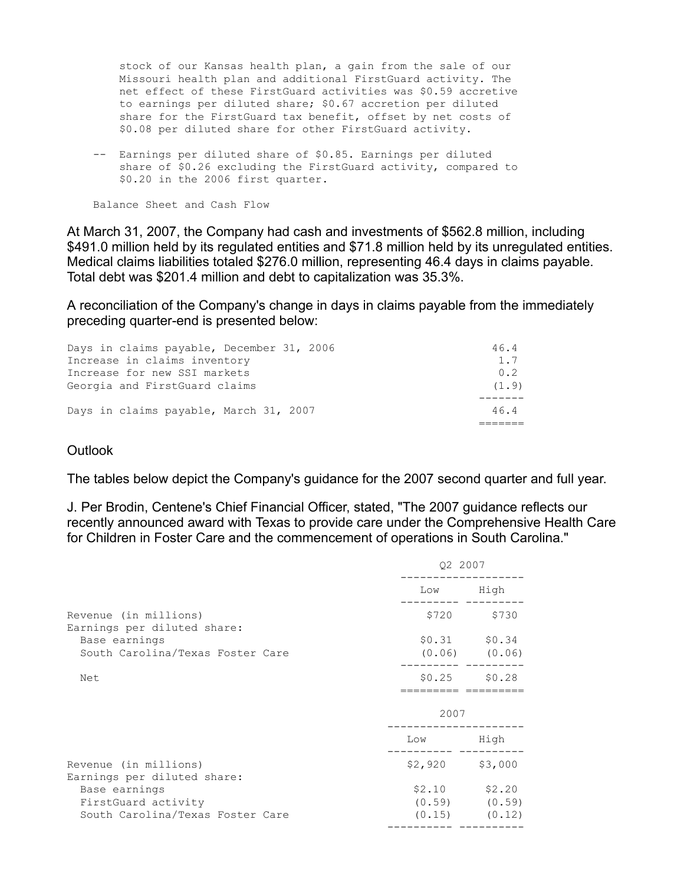stock of our Kansas health plan, a gain from the sale of our Missouri health plan and additional FirstGuard activity. The net effect of these FirstGuard activities was \$0.59 accretive to earnings per diluted share; \$0.67 accretion per diluted share for the FirstGuard tax benefit, offset by net costs of \$0.08 per diluted share for other FirstGuard activity.

 -- Earnings per diluted share of \$0.85. Earnings per diluted share of \$0.26 excluding the FirstGuard activity, compared to \$0.20 in the 2006 first quarter.

Balance Sheet and Cash Flow

At March 31, 2007, the Company had cash and investments of \$562.8 million, including \$491.0 million held by its regulated entities and \$71.8 million held by its unregulated entities. Medical claims liabilities totaled \$276.0 million, representing 46.4 days in claims payable. Total debt was \$201.4 million and debt to capitalization was 35.3%.

A reconciliation of the Company's change in days in claims payable from the immediately preceding quarter-end is presented below:

| Days in claims payable, December 31, 2006 | 46.4  |
|-------------------------------------------|-------|
| Increase in claims inventory              | 1.7   |
| Increase for new SSI markets              | 0.2   |
| Georgia and FirstGuard claims             | (1.9) |
|                                           |       |
| Days in claims payable, March 31, 2007    | 46.4  |
|                                           |       |

## **Outlook**

The tables below depict the Company's guidance for the 2007 second quarter and full year.

J. Per Brodin, Centene's Chief Financial Officer, stated, "The 2007 guidance reflects our recently announced award with Texas to provide care under the Comprehensive Health Care for Children in Foster Care and the commencement of operations in South Carolina."

|                                                      | Q2 2007         |                   |
|------------------------------------------------------|-----------------|-------------------|
|                                                      | Low High        |                   |
| Revenue (in millions)<br>Earnings per diluted share: |                 | \$720 \$730       |
| Base earnings                                        |                 | $$0.31$ $$0.34$   |
| South Carolina/Texas Foster Care                     |                 | $(0.06)$ $(0.06)$ |
| Net                                                  |                 | $$0.25$ $$0.28$   |
|                                                      | 2007            |                   |
|                                                      | Low High        |                   |
| Revenue (in millions)<br>Earnings per diluted share: | \$2,920 \$3,000 |                   |
| Base earnings                                        |                 | $$2.10$ $$2.20$   |
| FirstGuard activity                                  |                 | $(0.59)$ $(0.59)$ |
| South Carolina/Texas Foster Care                     |                 | $(0.15)$ $(0.12)$ |
|                                                      |                 |                   |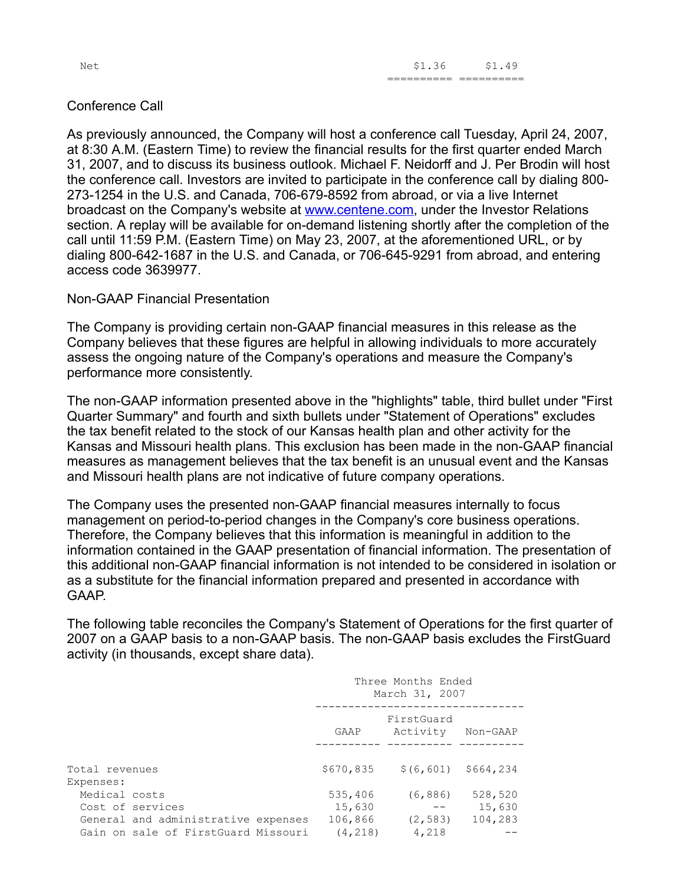Net \$1.36 \$1.49 ========== ==========

## Conference Call

As previously announced, the Company will host a conference call Tuesday, April 24, 2007, at 8:30 A.M. (Eastern Time) to review the financial results for the first quarter ended March 31, 2007, and to discuss its business outlook. Michael F. Neidorff and J. Per Brodin will host the conference call. Investors are invited to participate in the conference call by dialing 800- 273-1254 in the U.S. and Canada, 706-679-8592 from abroad, or via a live Internet broadcast on the Company's website at [www.centene.com](http://www.centene.com/), under the Investor Relations section. A replay will be available for on-demand listening shortly after the completion of the call until 11:59 P.M. (Eastern Time) on May 23, 2007, at the aforementioned URL, or by dialing 800-642-1687 in the U.S. and Canada, or 706-645-9291 from abroad, and entering access code 3639977.

## Non-GAAP Financial Presentation

The Company is providing certain non-GAAP financial measures in this release as the Company believes that these figures are helpful in allowing individuals to more accurately assess the ongoing nature of the Company's operations and measure the Company's performance more consistently.

The non-GAAP information presented above in the "highlights" table, third bullet under "First Quarter Summary" and fourth and sixth bullets under "Statement of Operations" excludes the tax benefit related to the stock of our Kansas health plan and other activity for the Kansas and Missouri health plans. This exclusion has been made in the non-GAAP financial measures as management believes that the tax benefit is an unusual event and the Kansas and Missouri health plans are not indicative of future company operations.

The Company uses the presented non-GAAP financial measures internally to focus management on period-to-period changes in the Company's core business operations. Therefore, the Company believes that this information is meaningful in addition to the information contained in the GAAP presentation of financial information. The presentation of this additional non-GAAP financial information is not intended to be considered in isolation or as a substitute for the financial information prepared and presented in accordance with GAAP.

The following table reconciles the Company's Statement of Operations for the first quarter of 2007 on a GAAP basis to a non-GAAP basis. The non-GAAP basis excludes the FirstGuard activity (in thousands, except share data).

|                |                                     | Three Months Ended<br>March 31, 2007 |                        |           |  |
|----------------|-------------------------------------|--------------------------------------|------------------------|-----------|--|
|                |                                     | GAAP                                 | FirstGuard<br>Activity | Non-GAAP  |  |
| Total revenues |                                     | \$670,835                            | \$ (6, 601)            | \$664,234 |  |
| Expenses:      |                                     |                                      |                        |           |  |
| Medical costs  |                                     | 535,406                              | (6, 886)               | 528,520   |  |
|                | Cost of services                    | 15,630                               | $ -$                   | 15,630    |  |
|                | General and administrative expenses | 106,866                              | (2, 583)               | 104,283   |  |
|                | Gain on sale of FirstGuard Missouri | (4, 218)                             | 4,218                  |           |  |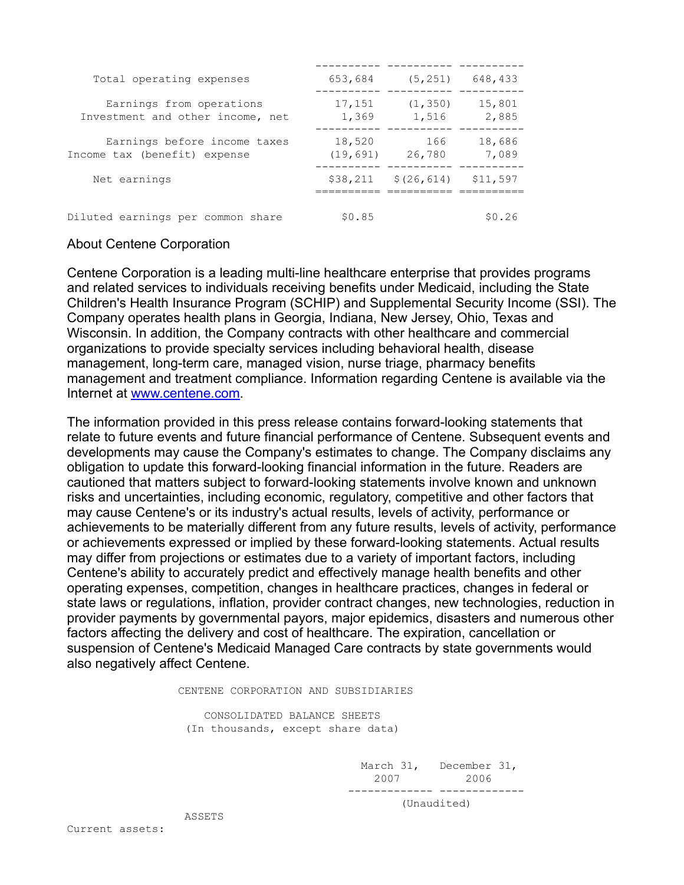| Total operating expenses                                     | 653,684             | (5, 251)          | 648,433         |
|--------------------------------------------------------------|---------------------|-------------------|-----------------|
| Earnings from operations<br>Investment and other income, net | 17,151<br>1,369     | (1, 350)<br>1,516 | 15,801<br>2,885 |
| Earnings before income taxes<br>Income tax (benefit) expense | 18,520<br>(19, 691) | 166<br>26,780     | 18,686<br>7,089 |
| Net earnings                                                 | \$38,211            | \$(26, 614)       | \$11,597        |
| Diluted earnings per common share                            | \$0.85              |                   | \$0.26          |

## About Centene Corporation

Centene Corporation is a leading multi-line healthcare enterprise that provides programs and related services to individuals receiving benefits under Medicaid, including the State Children's Health Insurance Program (SCHIP) and Supplemental Security Income (SSI). The Company operates health plans in Georgia, Indiana, New Jersey, Ohio, Texas and Wisconsin. In addition, the Company contracts with other healthcare and commercial organizations to provide specialty services including behavioral health, disease management, long-term care, managed vision, nurse triage, pharmacy benefits management and treatment compliance. Information regarding Centene is available via the Internet at [www.centene.com](http://www.centene.com/).

The information provided in this press release contains forward-looking statements that relate to future events and future financial performance of Centene. Subsequent events and developments may cause the Company's estimates to change. The Company disclaims any obligation to update this forward-looking financial information in the future. Readers are cautioned that matters subject to forward-looking statements involve known and unknown risks and uncertainties, including economic, regulatory, competitive and other factors that may cause Centene's or its industry's actual results, levels of activity, performance or achievements to be materially different from any future results, levels of activity, performance or achievements expressed or implied by these forward-looking statements. Actual results may differ from projections or estimates due to a variety of important factors, including Centene's ability to accurately predict and effectively manage health benefits and other operating expenses, competition, changes in healthcare practices, changes in federal or state laws or regulations, inflation, provider contract changes, new technologies, reduction in provider payments by governmental payors, major epidemics, disasters and numerous other factors affecting the delivery and cost of healthcare. The expiration, cancellation or suspension of Centene's Medicaid Managed Care contracts by state governments would also negatively affect Centene.

CENTENE CORPORATION AND SUBSIDIARIES

 CONSOLIDATED BALANCE SHEETS (In thousands, except share data)

> March 31, December 31, 2007 2006 ------------- ------------- (Unaudited)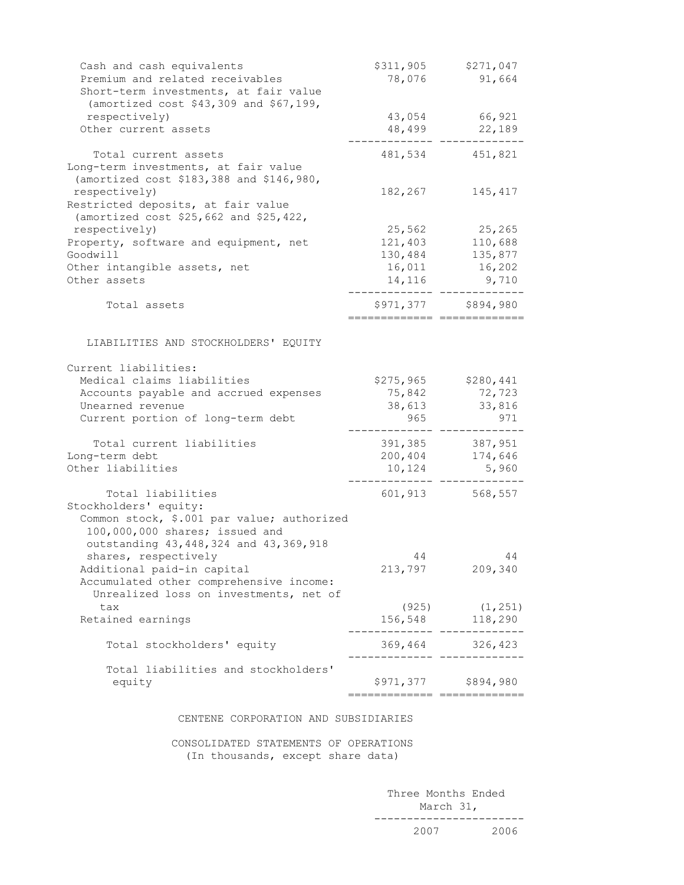| Cash and cash equivalents<br>Premium and related receivables<br>Short-term investments, at fair value | \$311,905<br>78,076          | \$271,047<br>91,664                                                                  |
|-------------------------------------------------------------------------------------------------------|------------------------------|--------------------------------------------------------------------------------------|
| (amortized cost \$43,309 and \$67,199,                                                                |                              |                                                                                      |
| respectively)<br>Other current assets                                                                 | 43,054<br>48,499             | 66,921<br>22,189                                                                     |
|                                                                                                       |                              |                                                                                      |
| Total current assets                                                                                  |                              | 481,534 451,821                                                                      |
| Long-term investments, at fair value                                                                  |                              |                                                                                      |
| (amortized cost \$183,388 and \$146,980,                                                              |                              |                                                                                      |
| respectively)<br>Restricted deposits, at fair value                                                   | 182,267                      | 145,417                                                                              |
| (amortized cost \$25,662 and \$25,422,                                                                |                              |                                                                                      |
| respectively)                                                                                         | 25,562                       | 25,265                                                                               |
| Property, software and equipment, net                                                                 | 121,403                      | 110,688                                                                              |
| Goodwill                                                                                              | 130,484                      | 135,877                                                                              |
| Other intangible assets, net<br>Other assets                                                          | 16,011                       | 16,202<br>14, 116 9, 710                                                             |
|                                                                                                       |                              |                                                                                      |
| Total assets                                                                                          |                              | \$971,377 \$894,980                                                                  |
|                                                                                                       |                              |                                                                                      |
| LIABILITIES AND STOCKHOLDERS' EQUITY                                                                  |                              |                                                                                      |
| Current liabilities:                                                                                  |                              |                                                                                      |
| Medical claims liabilities                                                                            | \$275,965                    | \$280,441                                                                            |
| Accounts payable and accrued expenses                                                                 | 75,842                       | 72,723                                                                               |
| Unearned revenue                                                                                      | 38,613                       | 33,816                                                                               |
| Current portion of long-term debt                                                                     | 965                          | 971                                                                                  |
| Total current liabilities                                                                             | 391,385                      | 387,951                                                                              |
| Long-term debt                                                                                        | 200,404                      | 174,646                                                                              |
| Other liabilities                                                                                     | 10,124                       | 5,960                                                                                |
| Total liabilities                                                                                     |                              | 601, 913 568, 557                                                                    |
| Stockholders' equity:                                                                                 |                              |                                                                                      |
| Common stock, \$.001 par value; authorized                                                            |                              |                                                                                      |
| 100,000,000 shares; issued and                                                                        |                              |                                                                                      |
| outstanding 43, 448, 324 and 43, 369, 918                                                             |                              |                                                                                      |
| shares, respectively                                                                                  | 44<br>213,797                | 44<br>209,340                                                                        |
| Additional paid-in capital<br>Accumulated other comprehensive income:                                 |                              |                                                                                      |
| Unrealized loss on investments, net of                                                                |                              |                                                                                      |
| tax                                                                                                   | (925)                        | (1, 251)                                                                             |
| Retained earnings                                                                                     |                              | 156,548 118,290                                                                      |
| Total stockholders' equity                                                                            |                              | 369,464 326,423<br>$\begin{array}{cccccccccc} - & - & - & - & - & - & - \end{array}$ |
| Total liabilities and stockholders'                                                                   |                              |                                                                                      |
| equity                                                                                                |                              | \$971,377 \$894,980                                                                  |
|                                                                                                       | ;=========================== |                                                                                      |

#### CENTENE CORPORATION AND SUBSIDIARIES

 CONSOLIDATED STATEMENTS OF OPERATIONS (In thousands, except share data)

> Three Months Ended March 31, ----------------------- 2007 2006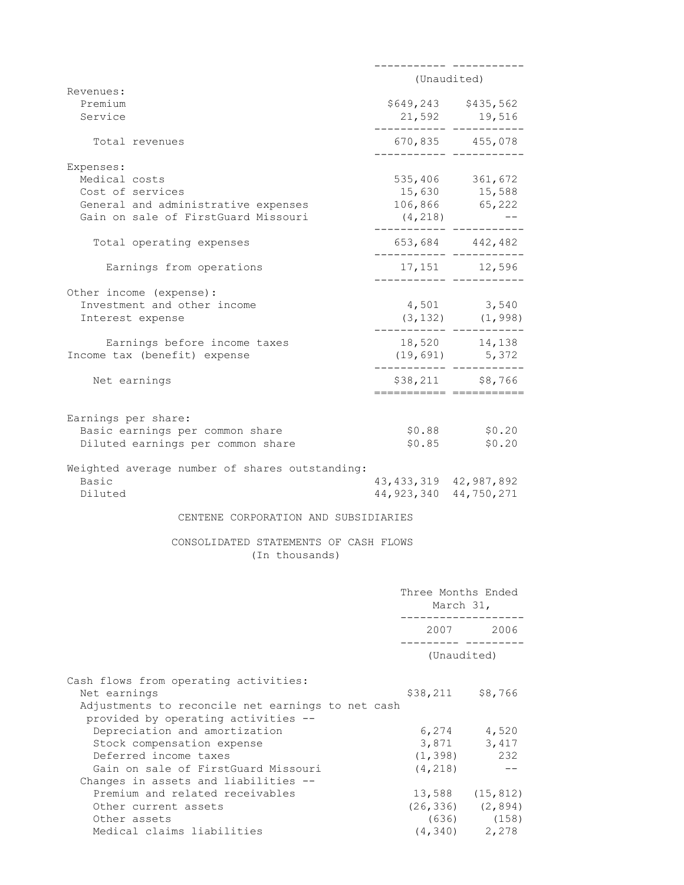|                                                                             | (Unaudited)                                                                                                                                                                                      |
|-----------------------------------------------------------------------------|--------------------------------------------------------------------------------------------------------------------------------------------------------------------------------------------------|
|                                                                             |                                                                                                                                                                                                  |
|                                                                             | 21,592 19,516                                                                                                                                                                                    |
|                                                                             | 670,835 455,078                                                                                                                                                                                  |
|                                                                             |                                                                                                                                                                                                  |
|                                                                             | 535,406 361,672                                                                                                                                                                                  |
|                                                                             |                                                                                                                                                                                                  |
|                                                                             |                                                                                                                                                                                                  |
|                                                                             |                                                                                                                                                                                                  |
|                                                                             | 653,684 442,482                                                                                                                                                                                  |
|                                                                             | 17, 151 12, 596                                                                                                                                                                                  |
|                                                                             |                                                                                                                                                                                                  |
|                                                                             | 4,501 3,540                                                                                                                                                                                      |
|                                                                             | $(3, 132)$ $(1, 998)$                                                                                                                                                                            |
|                                                                             |                                                                                                                                                                                                  |
|                                                                             | ._______  ____________                                                                                                                                                                           |
|                                                                             | \$38,211 \$8,766                                                                                                                                                                                 |
|                                                                             |                                                                                                                                                                                                  |
|                                                                             |                                                                                                                                                                                                  |
|                                                                             | \$0.88          \$0.20<br>\$0.85         \$0.20<br>\$0.20                                                                                                                                        |
|                                                                             |                                                                                                                                                                                                  |
|                                                                             |                                                                                                                                                                                                  |
| Weighted average number of shares outstanding:<br>43, 433, 319 42, 987, 892 |                                                                                                                                                                                                  |
| 44, 923, 340 44, 750, 271                                                   |                                                                                                                                                                                                  |
| CENTENE CORPORATION AND SUBSIDIARIES                                        |                                                                                                                                                                                                  |
| CONSOLIDATED STATEMENTS OF CASH FLOWS                                       |                                                                                                                                                                                                  |
|                                                                             | March 31,                                                                                                                                                                                        |
|                                                                             |                                                                                                                                                                                                  |
|                                                                             | Three Months Ended<br>. _ _ _ _ _ _ _ _ _ _ _ _ _ _ _ _ _ _<br>2007 2006<br>__________ _________<br>(Unaudited)                                                                                  |
|                                                                             |                                                                                                                                                                                                  |
| \$38,211<br>Adjustments to reconcile net earnings to net cash               | \$8,766                                                                                                                                                                                          |
| 6,274                                                                       | 4,520                                                                                                                                                                                            |
|                                                                             | 3,871<br>3,417                                                                                                                                                                                   |
| (1, 398)                                                                    |                                                                                                                                                                                                  |
| (4, 218)                                                                    | 232<br>$\qquad \qquad -$                                                                                                                                                                         |
|                                                                             |                                                                                                                                                                                                  |
| 13,588                                                                      | (15, 812)                                                                                                                                                                                        |
| (26, 336)<br>(636)                                                          | (2, 894)<br>(158)                                                                                                                                                                                |
|                                                                             | \$649,243 \$435,562<br>----------- ------------<br>15,630 15,588<br>106,866 65,222<br>(4, 218)<br>._______ _____<br>._______ ____.<br>---------- ------------<br>18,520 14,138<br>(19,691) 5,372 |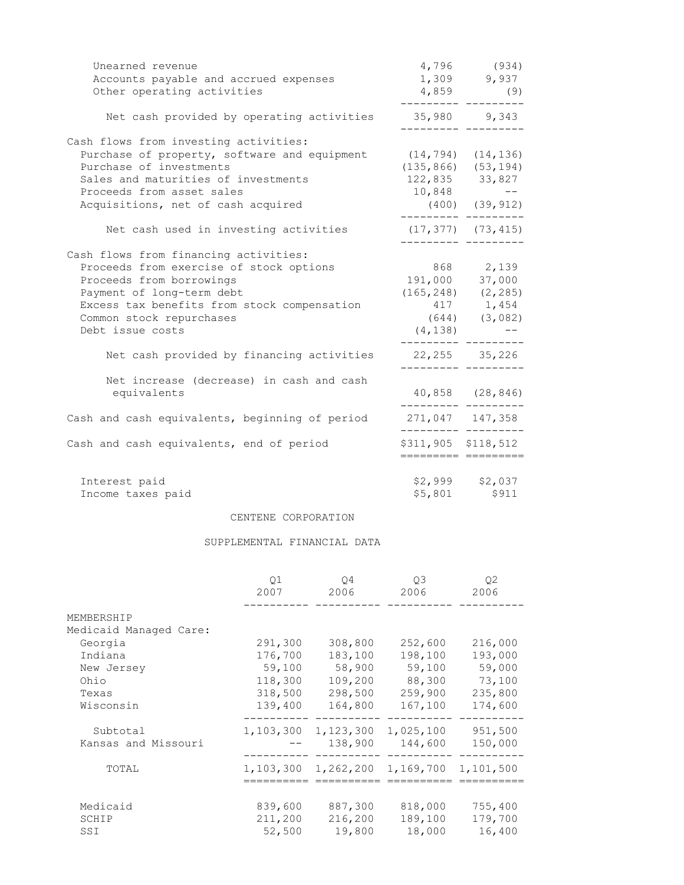| Unearned revenue                                               |                                      | 4,796 (934)                               |
|----------------------------------------------------------------|--------------------------------------|-------------------------------------------|
| Accounts payable and accrued expenses                          |                                      | 1,309 9,937                               |
| Other operating activities                                     |                                      | $4,859$ (9)                               |
| Net cash provided by operating activities                      |                                      | 35,980 9,343                              |
| Cash flows from investing activities:                          |                                      |                                           |
| Purchase of property, software and equipment (14,794) (14,136) |                                      |                                           |
| Purchase of investments                                        |                                      | $(135, 866)$ $(53, 194)$                  |
| Sales and maturities of investments                            | 122,835 33,827                       |                                           |
| Proceeds from asset sales                                      | $10,848$ --                          |                                           |
| Acquisitions, net of cash acquired                             |                                      | $(400)$ $(39, 912)$<br>.________ ________ |
| Net cash used in investing activities                          | $(17, 377)$ $(73, 415)$              |                                           |
| Cash flows from financing activities:                          |                                      |                                           |
| Proceeds from exercise of stock options                        | 868 2,139                            |                                           |
| Proceeds from borrowings                                       | 191,000 37,000                       |                                           |
| Payment of long-term debt                                      |                                      | $(165, 248)$ $(2, 285)$                   |
| Excess tax benefits from stock compensation                    |                                      | 417 1,454                                 |
| Common stock repurchases                                       |                                      | $(644)$ $(3,082)$                         |
| Debt issue costs                                               |                                      | $(4, 138)$ --                             |
| Net cash provided by financing activities                      | 22, 255 35, 226<br>__________ ______ |                                           |
| Net increase (decrease) in cash and cash                       |                                      |                                           |
| equivalents                                                    |                                      | 40,858 (28,846)                           |
| Cash and cash equivalents, beginning of period                 | 271,047 147,358                      |                                           |
|                                                                |                                      | \$311,905 \$118,512                       |
| Cash and cash equivalents, end of period                       |                                      |                                           |
| Interest paid                                                  |                                      | $$2,999$ $$2,037$                         |
| Income taxes paid                                              |                                      | \$5,801 \$911                             |
|                                                                |                                      |                                           |

#### CENTENE CORPORATION

### SUPPLEMENTAL FINANCIAL DATA

|                        | 01<br>2007 | O4<br>2006 | O <sub>3</sub><br>2006 | 02<br>2006 |
|------------------------|------------|------------|------------------------|------------|
| MEMBERSHIP             |            |            |                        |            |
| Medicaid Managed Care: |            |            |                        |            |
| Georgia                | 291,300    | 308,800    | 252,600                | 216,000    |
| Indiana                | 176,700    | 183,100    | 198,100                | 193,000    |
| New Jersey             | 59,100     | 58,900     | 59,100                 | 59,000     |
| Ohio                   | 118,300    | 109,200    | 88,300                 | 73,100     |
| Texas                  | 318,500    | 298,500    | 259,900                | 235,800    |
| Wisconsin              | 139,400    | 164,800    | 167,100                | 174,600    |
| Subtotal               | 1,103,300  | 1,123,300  | 1,025,100              | 951,500    |
| Kansas and Missouri    |            | 138,900    | 144,600                | 150,000    |
| TOTAL                  | 1,103,300  | 1,262,200  | 1,169,700              | 1,101,500  |
|                        |            |            |                        |            |
| Medicaid               | 839,600    | 887,300    | 818,000                | 755,400    |
| SCHIP                  | 211,200    | 216,200    | 189,100                | 179,700    |
| SSI                    | 52,500     | 19,800     | 18,000                 | 16,400     |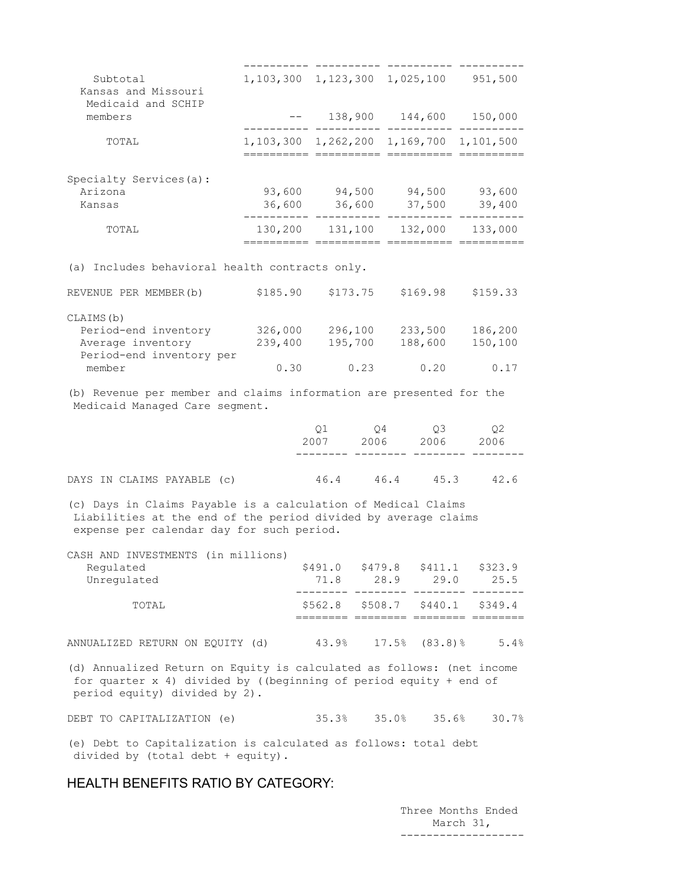| Subtotal<br>Kansas and Missouri                                                                                                                                              | 1, 103, 300 1, 123, 300 1, 025, 100                                                                                                            |                 |                 |                                             | 951,500                        |
|------------------------------------------------------------------------------------------------------------------------------------------------------------------------------|------------------------------------------------------------------------------------------------------------------------------------------------|-----------------|-----------------|---------------------------------------------|--------------------------------|
| Medicaid and SCHIP<br>members                                                                                                                                                | $\frac{1}{2} \frac{1}{2} \left( \frac{1}{2} \frac{1}{2} \right) \left( \frac{1}{2} \frac{1}{2} \right) \left( \frac{1}{2} \frac{1}{2} \right)$ |                 |                 |                                             | 138,900 144,600 150,000        |
| TOTAL                                                                                                                                                                        | 1,103,300 1,262,200 1,169,700 1,101,500                                                                                                        |                 |                 |                                             |                                |
| Specialty Services(a):<br>Arizona<br>Kansas                                                                                                                                  | 93,600<br>36,600                                                                                                                               |                 | 36,600          | 37,500                                      | 94,500 94,500 93,600<br>39,400 |
| TOTAL                                                                                                                                                                        | 130,200 131,100 132,000<br>=========== ========== ==========                                                                                   |                 |                 |                                             | 133,000                        |
| (a) Includes behavioral health contracts only.                                                                                                                               |                                                                                                                                                |                 |                 |                                             |                                |
| REVENUE PER MEMBER (b)                                                                                                                                                       | \$185.90                                                                                                                                       |                 | \$173.75        | \$169.98                                    | \$159.33                       |
| CLAIMS (b)<br>Period-end inventory 326,000<br>Average inventory<br>Period-end inventory per<br>member                                                                        | 239,400<br>0.30                                                                                                                                | 195,700         | 296,100<br>0.23 | 233,500<br>188,600<br>0.20                  | 186,200<br>150,100<br>0.17     |
| (b) Revenue per member and claims information are presented for the<br>Medicaid Managed Care segment.                                                                        |                                                                                                                                                |                 |                 |                                             |                                |
|                                                                                                                                                                              |                                                                                                                                                | Q1<br>2007      | $Q_4$           | Q3<br>2006 2006                             | Q2<br>2006                     |
| DAYS IN CLAIMS PAYABLE (c)                                                                                                                                                   |                                                                                                                                                | 46.4            |                 | 46.4 45.3                                   | 42.6                           |
| (c) Days in Claims Payable is a calculation of Medical Claims<br>Liabilities at the end of the period divided by average claims<br>expense per calendar day for such period. |                                                                                                                                                |                 |                 |                                             |                                |
| CASH AND INVESTMENTS (in millions)<br>Regulated<br>Unregulated                                                                                                               |                                                                                                                                                | \$491.0<br>71.8 | \$479.8<br>28.9 | \$411.1<br>29.0                             | \$323.9<br>25.5                |
| TOTAL                                                                                                                                                                        |                                                                                                                                                | \$562.8         | \$508.7         | \$440.1<br>======== ======== ======== ===== | \$349.4                        |
| ANNUALIZED RETURN ON EQUITY (d)                                                                                                                                              |                                                                                                                                                | 43.9%           | 17.5%           | $(83.8)$ $%$                                | 5.4%                           |

(d) Annualized Return on Equity is calculated as follows: (net income for quarter x 4) divided by ((beginning of period equity + end of period equity) divided by 2).

DEBT TO CAPITALIZATION (e) 35.3% 35.0% 35.6% 30.7%

(e) Debt to Capitalization is calculated as follows: total debt divided by (total debt + equity).

## HEALTH BENEFITS RATIO BY CATEGORY:

 Three Months Ended March 31, -------------------